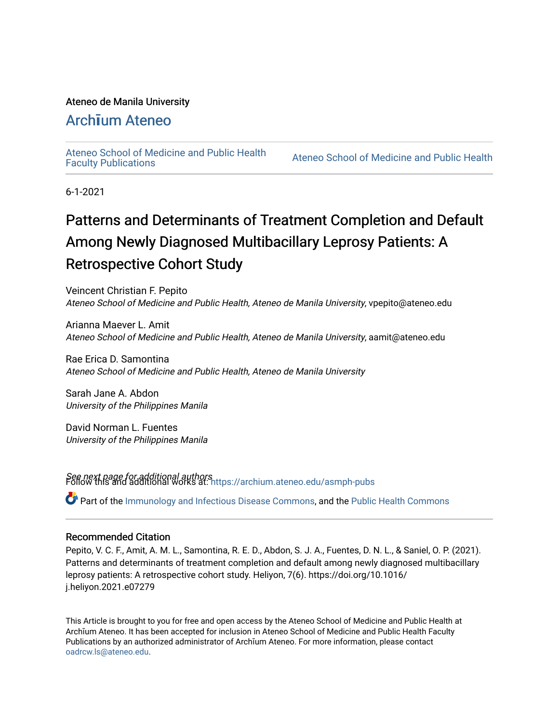### Ateneo de Manila University

# Arch**ī**[um Ateneo](https://archium.ateneo.edu/)

[Ateneo School of Medicine and Public Health](https://archium.ateneo.edu/asmph-pubs) 

Ateneo School of Medicine and Public Health

6-1-2021

# Patterns and Determinants of Treatment Completion and Default Among Newly Diagnosed Multibacillary Leprosy Patients: A Retrospective Cohort Study

Veincent Christian F. Pepito Ateneo School of Medicine and Public Health, Ateneo de Manila University, vpepito@ateneo.edu

Arianna Maever L. Amit Ateneo School of Medicine and Public Health, Ateneo de Manila University, aamit@ateneo.edu

Rae Erica D. Samontina Ateneo School of Medicine and Public Health, Ateneo de Manila University

Sarah Jane A. Abdon University of the Philippines Manila

David Norman L. Fuentes University of the Philippines Manila

See next page for additional authors Follow this and additional works at: [https://archium.ateneo.edu/asmph-pubs](https://archium.ateneo.edu/asmph-pubs?utm_source=archium.ateneo.edu%2Fasmph-pubs%2F40&utm_medium=PDF&utm_campaign=PDFCoverPages) 

Part of the [Immunology and Infectious Disease Commons,](https://network.bepress.com/hgg/discipline/33?utm_source=archium.ateneo.edu%2Fasmph-pubs%2F40&utm_medium=PDF&utm_campaign=PDFCoverPages) and the [Public Health Commons](https://network.bepress.com/hgg/discipline/738?utm_source=archium.ateneo.edu%2Fasmph-pubs%2F40&utm_medium=PDF&utm_campaign=PDFCoverPages) 

### Recommended Citation

Pepito, V. C. F., Amit, A. M. L., Samontina, R. E. D., Abdon, S. J. A., Fuentes, D. N. L., & Saniel, O. P. (2021). Patterns and determinants of treatment completion and default among newly diagnosed multibacillary leprosy patients: A retrospective cohort study. Heliyon, 7(6). https://doi.org/10.1016/ j.heliyon.2021.e07279

This Article is brought to you for free and open access by the Ateneo School of Medicine and Public Health at Archīum Ateneo. It has been accepted for inclusion in Ateneo School of Medicine and Public Health Faculty Publications by an authorized administrator of Archīum Ateneo. For more information, please contact [oadrcw.ls@ateneo.edu.](mailto:oadrcw.ls@ateneo.edu)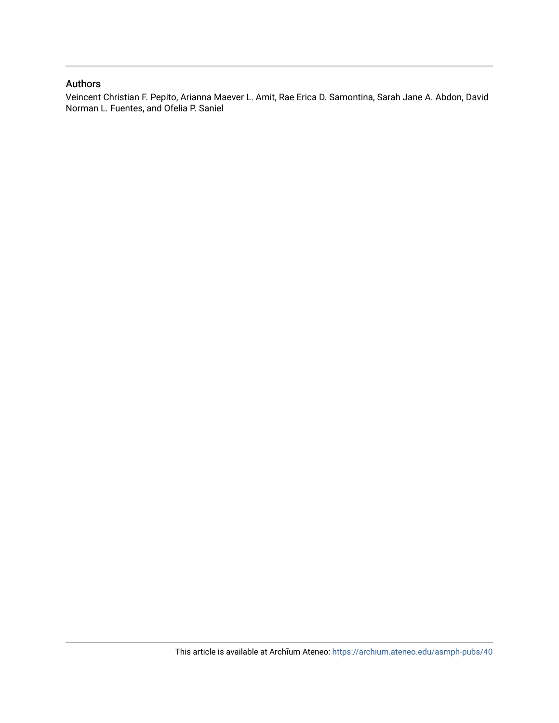### Authors

Veincent Christian F. Pepito, Arianna Maever L. Amit, Rae Erica D. Samontina, Sarah Jane A. Abdon, David Norman L. Fuentes, and Ofelia P. Saniel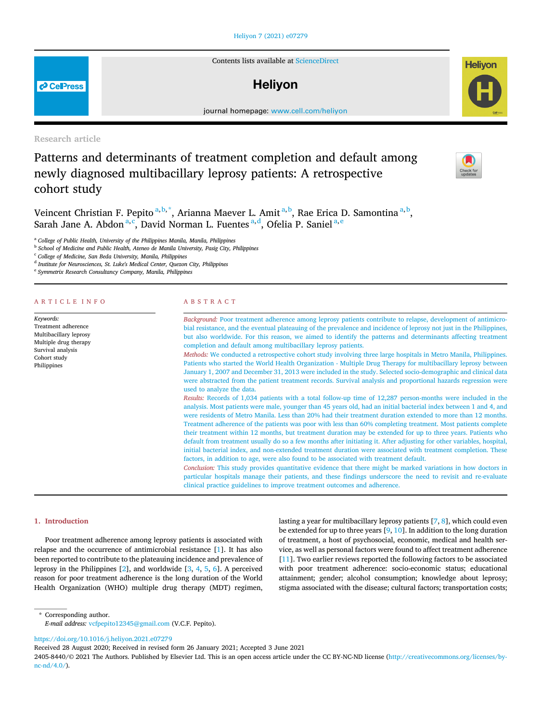#### [Heliyon 7 \(2021\) e07279](https://doi.org/10.1016/j.heliyon.2021.e07279)

Contents lists available at [ScienceDirect](www.sciencedirect.com/science/journal/24058440)

## **Helivon**

journal home page: www.cell.com/helixon/helixon/helixon/helixon/helixon/helixon/helixon/helixon/helixon/helixon/helixon/helixon/helixon/helixon/helixon/helixon/helixon/helixon/helixon/helixon/helixon/helixon/helixon/helix

Research article

**P** CellPress

# Patterns and determinants of treatment completion and default among newly diagnosed multibacillary leprosy patients: A retrospective cohort study

**Helivon** 

Veincent Christian F. Pepito <sup>[a,](#page-2-0) [b,](#page-2-1) [\\*](#page-2-2)</sup>, Arianna Maever L. Amit <sup>a, [b](#page-2-1)</sup>, Rae Erica D. Samontina <sup>a, b</sup>, Sarah Jane A. Abdon<sup>[a,](#page-2-0) [c](#page-2-3)</sup>, Davi[d](#page-2-4) Norm[a](#page-2-0)n L. Fu[e](#page-2-5)ntes<sup>a, d</sup>, Ofelia P. Saniel<sup>a, e</sup>

<span id="page-2-0"></span><sup>a</sup> College of Public Health, University of the Philippines Manila, Manila, Philippines

<span id="page-2-1"></span>**b** School of Medicine and Public Health, Ateneo de Manila University, Pasig City, Philippines

<span id="page-2-3"></span><sup>c</sup> College of Medicine, San Beda University, Manila, Philippines

<span id="page-2-4"></span> $^{\rm d}$  Institute for Neurosciences, St. Luke's Medical Center, Quezon City, Philippines

<span id="page-2-5"></span><sup>e</sup> Symmetrix Research Consultancy Company, Manila, Philippines

#### ARTICLE INFO

Keywords: Treatment adherence Multibacillary leprosy Multiple drug therapy Survival analysis Cohort study Philippines

#### ABSTRACT

Background: Poor treatment adherence among leprosy patients contribute to relapse, development of antimicrobial resistance, and the eventual plateauing of the prevalence and incidence of leprosy not just in the Philippines, but also worldwide. For this reason, we aimed to identify the patterns and determinants affecting treatment completion and default among multibacillary leprosy patients. Methods: We conducted a retrospective cohort study involving three large hospitals in Metro Manila, Philippines.

Patients who started the World Health Organization - Multiple Drug Therapy for multibacillary leprosy between January 1, 2007 and December 31, 2013 were included in the study. Selected socio-demographic and clinical data were abstracted from the patient treatment records. Survival analysis and proportional hazards regression were used to analyze the data.

Results: Records of 1,034 patients with a total follow-up time of 12,287 person-months were included in the analysis. Most patients were male, younger than 45 years old, had an initial bacterial index between 1 and 4, and were residents of Metro Manila. Less than 20% had their treatment duration extended to more than 12 months. Treatment adherence of the patients was poor with less than 60% completing treatment. Most patients complete their treatment within 12 months, but treatment duration may be extended for up to three years. Patients who default from treatment usually do so a few months after initiating it. After adjusting for other variables, hospital, initial bacterial index, and non-extended treatment duration were associated with treatment completion. These factors, in addition to age, were also found to be associated with treatment default.

Conclusion: This study provides quantitative evidence that there might be marked variations in how doctors in particular hospitals manage their patients, and these findings underscore the need to revisit and re-evaluate clinical practice guidelines to improve treatment outcomes and adherence.

#### 1. Introduction

Poor treatment adherence among leprosy patients is associated with relapse and the occurrence of antimicrobial resistance [\[1\]](#page-9-0). It has also been reported to contribute to the plateauing incidence and prevalence of leprosy in the Philippines [\[2\]](#page-9-1), and worldwide [[3](#page-9-2), [4,](#page-9-3) [5](#page-9-4), [6\]](#page-9-5). A perceived reason for poor treatment adherence is the long duration of the World Health Organization (WHO) multiple drug therapy (MDT) regimen,

lasting a year for multibacillary leprosy patients [[7](#page-9-6), [8\]](#page-9-7), which could even be extended for up to three years [[9](#page-9-8), [10](#page-9-9)]. In addition to the long duration of treatment, a host of psychosocial, economic, medical and health service, as well as personal factors were found to affect treatment adherence [[11\]](#page-9-10). Two earlier reviews reported the following factors to be associated with poor treatment adherence: socio-economic status; educational attainment; gender; alcohol consumption; knowledge about leprosy; stigma associated with the disease; cultural factors; transportation costs;

<span id="page-2-2"></span>\* Corresponding author. E-mail address: [vcfpepito12345@gmail.com](mailto:vcfpepito12345@gmail.com) (V.C.F. Pepito).

<https://doi.org/10.1016/j.heliyon.2021.e07279>

Received 28 August 2020; Received in revised form 26 January 2021; Accepted 3 June 2021



<sup>2405-8440/</sup>© 2021 The Authors. Published by Elsevier Ltd. This is an open access article under the CC BY-NC-ND license [\(http://creativecommons.org/licenses/by](http://creativecommons.org/licenses/by-nc-nd/4.0/) $nc-nd/4.0/$ ).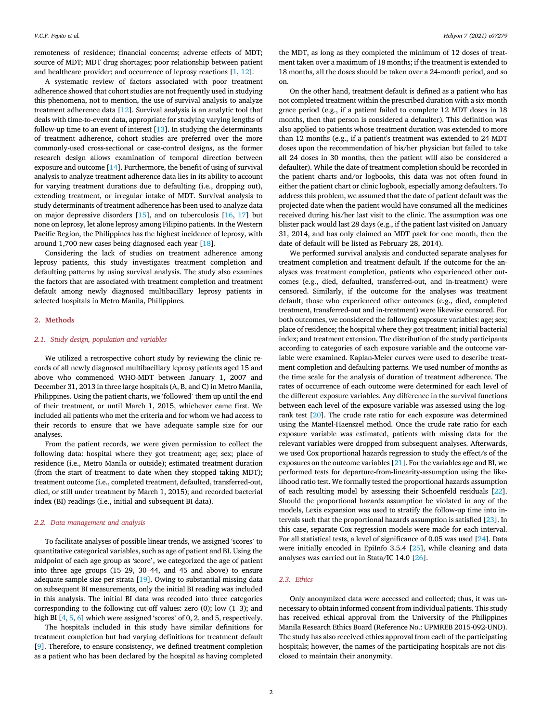remoteness of residence; financial concerns; adverse effects of MDT; source of MDT; MDT drug shortages; poor relationship between patient and healthcare provider; and occurrence of leprosy reactions [[1](#page-9-0), [12\]](#page-9-11).

A systematic review of factors associated with poor treatment adherence showed that cohort studies are not frequently used in studying this phenomena, not to mention, the use of survival analysis to analyze treatment adherence data [[12\]](#page-9-11). Survival analysis is an analytic tool that deals with time-to-event data, appropriate for studying varying lengths of follow-up time to an event of interest  $[13]$  $[13]$ . In studying the determinants of treatment adherence, cohort studies are preferred over the more commonly-used cross-sectional or case-control designs, as the former research design allows examination of temporal direction between exposure and outcome [\[14](#page-9-13)]. Furthermore, the benefit of using of survival analysis to analyze treatment adherence data lies in its ability to account for varying treatment durations due to defaulting (i.e., dropping out), extending treatment, or irregular intake of MDT. Survival analysis to study determinants of treatment adherence has been used to analyze data on major depressive disorders  $[15]$  $[15]$ , and on tuberculosis  $[16, 17]$  $[16, 17]$  $[16, 17]$  $[16, 17]$  $[16, 17]$  but none on leprosy, let alone leprosy among Filipino patients. In the Western Pacific Region, the Philippines has the highest incidence of leprosy, with around 1,700 new cases being diagnosed each year [[18\]](#page-9-17).

Considering the lack of studies on treatment adherence among leprosy patients, this study investigates treatment completion and defaulting patterns by using survival analysis. The study also examines the factors that are associated with treatment completion and treatment default among newly diagnosed multibacillary leprosy patients in selected hospitals in Metro Manila, Philippines.

#### 2. Methods

#### 2.1. Study design, population and variables

We utilized a retrospective cohort study by reviewing the clinic records of all newly diagnosed multibacillary leprosy patients aged 15 and above who commenced WHO-MDT between January 1, 2007 and December 31, 2013 in three large hospitals (A, B, and C) in Metro Manila, Philippines. Using the patient charts, we 'followed' them up until the end of their treatment, or until March 1, 2015, whichever came first. We included all patients who met the criteria and for whom we had access to their records to ensure that we have adequate sample size for our analyses.

From the patient records, we were given permission to collect the following data: hospital where they got treatment; age; sex; place of residence (i.e., Metro Manila or outside); estimated treatment duration (from the start of treatment to date when they stopped taking MDT); treatment outcome (i.e., completed treatment, defaulted, transferred-out, died, or still under treatment by March 1, 2015); and recorded bacterial index (BI) readings (i.e., initial and subsequent BI data).

#### 2.2. Data management and analysis

To facilitate analyses of possible linear trends, we assigned 'scores' to quantitative categorical variables, such as age of patient and BI. Using the midpoint of each age group as 'score', we categorized the age of patient into three age groups (15–29, 30–44, and 45 and above) to ensure adequate sample size per strata [\[19\]](#page-9-18). Owing to substantial missing data on subsequent BI measurements, only the initial BI reading was included in this analysis. The initial BI data was recoded into three categories corresponding to the following cut-off values: zero (0); low (1–3); and high BI [[4](#page-9-3), [5,](#page-9-4) [6](#page-9-5)] which were assigned 'scores' of 0, 2, and 5, respectively.

The hospitals included in this study have similar definitions for treatment completion but had varying definitions for treatment default [[9](#page-9-8)]. Therefore, to ensure consistency, we defined treatment completion as a patient who has been declared by the hospital as having completed the MDT, as long as they completed the minimum of 12 doses of treatment taken over a maximum of 18 months; if the treatment is extended to 18 months, all the doses should be taken over a 24-month period, and so on.

On the other hand, treatment default is defined as a patient who has not completed treatment within the prescribed duration with a six-month grace period (e.g., if a patient failed to complete 12 MDT doses in 18 months, then that person is considered a defaulter). This definition was also applied to patients whose treatment duration was extended to more than 12 months (e.g., if a patient's treatment was extended to 24 MDT doses upon the recommendation of his/her physician but failed to take all 24 doses in 30 months, then the patient will also be considered a defaulter). While the date of treatment completion should be recorded in the patient charts and/or logbooks, this data was not often found in either the patient chart or clinic logbook, especially among defaulters. To address this problem, we assumed that the date of patient default was the projected date when the patient would have consumed all the medicines received during his/her last visit to the clinic. The assumption was one blister pack would last 28 days (e.g., if the patient last visited on January 31, 2014, and has only claimed an MDT pack for one month, then the date of default will be listed as February 28, 2014).

We performed survival analysis and conducted separate analyses for treatment completion and treatment default. If the outcome for the analyses was treatment completion, patients who experienced other outcomes (e.g., died, defaulted, transferred-out, and in-treatment) were censored. Similarly, if the outcome for the analyses was treatment default, those who experienced other outcomes (e.g., died, completed treatment, transferred-out and in-treatment) were likewise censored. For both outcomes, we considered the following exposure variables: age; sex; place of residence; the hospital where they got treatment; initial bacterial index; and treatment extension. The distribution of the study participants according to categories of each exposure variable and the outcome variable were examined. Kaplan-Meier curves were used to describe treatment completion and defaulting patterns. We used number of months as the time scale for the analysis of duration of treatment adherence. The rates of occurrence of each outcome were determined for each level of the different exposure variables. Any difference in the survival functions between each level of the exposure variable was assessed using the logrank test [[20\]](#page-9-19). The crude rate ratio for each exposure was determined using the Mantel-Haenszel method. Once the crude rate ratio for each exposure variable was estimated, patients with missing data for the relevant variables were dropped from subsequent analyses. Afterwards, we used Cox proportional hazards regression to study the effect/s of the exposures on the outcome variables [\[21](#page-9-20)]. For the variables age and BI, we performed tests for departure-from-linearity-assumption using the likelihood ratio test. We formally tested the proportional hazards assumption of each resulting model by assessing their Schoenfeld residuals [\[22](#page-9-21)]. Should the proportional hazards assumption be violated in any of the models, Lexis expansion was used to stratify the follow-up time into intervals such that the proportional hazards assumption is satisfied [\[23](#page-9-22)]. In this case, separate Cox regression models were made for each interval. For all statistical tests, a level of significance of 0.05 was used [\[24](#page-9-23)]. Data were initially encoded in EpiInfo 3.5.4 [\[25](#page-9-24)], while cleaning and data analyses was carried out in Stata/IC 14.0 [\[26](#page-9-25)].

#### 2.3. Ethics

Only anonymized data were accessed and collected; thus, it was unnecessary to obtain informed consent from individual patients. This study has received ethical approval from the University of the Philippines Manila Research Ethics Board (Reference No.: UPMREB 2015-092-UND). The study has also received ethics approval from each of the participating hospitals; however, the names of the participating hospitals are not disclosed to maintain their anonymity.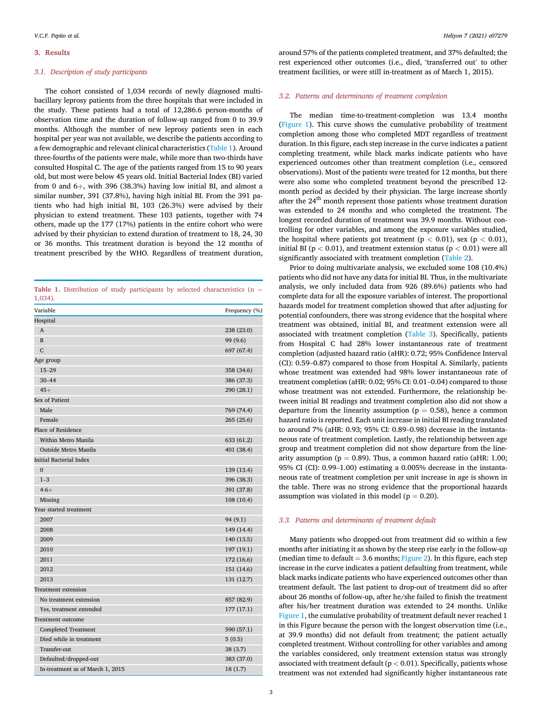#### 3. Results

#### 3.1. Description of study participants

The cohort consisted of 1,034 records of newly diagnosed multibacillary leprosy patients from the three hospitals that were included in the study. These patients had a total of 12,286.6 person-months of observation time and the duration of follow-up ranged from 0 to 39.9 months. Although the number of new leprosy patients seen in each hospital per year was not available, we describe the patients according to a few demographic and relevant clinical characteristics [\(Table 1\)](#page-4-0). Around three-fourths of the patients were male, while more than two-thirds have consulted Hospital C. The age of the patients ranged from 15 to 90 years old, but most were below 45 years old. Initial Bacterial Index (BI) varied from 0 and  $6+$ , with 396 (38.3%) having low initial BI, and almost a similar number, 391 (37.8%), having high initial BI. From the 391 patients who had high initial BI, 103 (26.3%) were advised by their physician to extend treatment. These 103 patients, together with 74 others, made up the 177 (17%) patients in the entire cohort who were advised by their physician to extend duration of treatment to 18, 24, 30 or 36 months. This treatment duration is beyond the 12 months of treatment prescribed by the WHO. Regardless of treatment duration,

<span id="page-4-0"></span>

|            |  |  |  | <b>Table 1.</b> Distribution of study participants by selected characteristics $(n =$ |  |
|------------|--|--|--|---------------------------------------------------------------------------------------|--|
| $1,034$ ). |  |  |  |                                                                                       |  |

| Variable                         | Frequency (%) |
|----------------------------------|---------------|
| Hospital                         |               |
| A                                | 238 (23.0)    |
| B                                | 99 (9.6)      |
| $\mathsf{C}$                     | 697 (67.4)    |
| Age group                        |               |
| $15 - 29$                        | 358 (34.6)    |
| $30 - 44$                        | 386 (37.3)    |
| $45+$                            | 290 (28.1)    |
| Sex of Patient                   |               |
| Male                             | 769 (74.4)    |
| Female                           | 265 (25.6)    |
| Place of Residence               |               |
| Within Metro Manila              | 633 (61.2)    |
| Outside Metro Manila             | 401 (38.4)    |
| Initial Bacterial Index          |               |
| $\Omega$                         | 139 (13.4)    |
| $1 - 3$                          | 396 (38.3)    |
| $4 - 6 +$                        | 391 (37.8)    |
| Missing                          | 108 (10.4)    |
| Year started treatment           |               |
| 2007                             | 94 (9.1)      |
| 2008                             | 149 (14.4)    |
| 2009                             | 140 (13.5)    |
| 2010                             | 197 (19.1)    |
| 2011                             | 172 (16.6)    |
| 2012                             | 151 (14.6)    |
| 2013                             | 131 (12.7)    |
| <b>Treatment extension</b>       |               |
| No treatment extension           | 857 (82.9)    |
| Yes, treatment extended          | 177 (17.1)    |
| <b>Treatment outcome</b>         |               |
| <b>Completed Treatment</b>       | 590 (57.1)    |
| Died while in treatment          | 5(0.5)        |
| Transfer-out                     | 38(3.7)       |
| Defaulted/dropped-out            | 383 (37.0)    |
| In-treatment as of March 1, 2015 | 18(1.7)       |

around 57% of the patients completed treatment, and 37% defaulted; the rest experienced other outcomes (i.e., died, 'transferred out' to other treatment facilities, or were still in-treatment as of March 1, 2015).

#### 3.2. Patterns and determinants of treatment completion

The median time-to-treatment-completion was 13.4 months ([Figure 1\)](#page-5-0). This curve shows the cumulative probability of treatment completion among those who completed MDT regardless of treatment duration. In this figure, each step increase in the curve indicates a patient completing treatment, while black marks indicate patients who have experienced outcomes other than treatment completion (i.e., censored observations). Most of the patients were treated for 12 months, but there were also some who completed treatment beyond the prescribed 12 month period as decided by their physician. The large increase shortly after the 24<sup>th</sup> month represent those patients whose treatment duration was extended to 24 months and who completed the treatment. The longest recorded duration of treatment was 39.9 months. Without controlling for other variables, and among the exposure variables studied, the hospital where patients got treatment ( $p < 0.01$ ), sex ( $p < 0.01$ ), initial BI ( $p < 0.01$ ), and treatment extension status ( $p < 0.01$ ) were all significantly associated with treatment completion ([Table 2\)](#page-5-1).

Prior to doing multivariate analysis, we excluded some 108 (10.4%) patients who did not have any data for initial BI. Thus, in the multivariate analysis, we only included data from 926 (89.6%) patients who had complete data for all the exposure variables of interest. The proportional hazards model for treatment completion showed that after adjusting for potential confounders, there was strong evidence that the hospital where treatment was obtained, initial BI, and treatment extension were all associated with treatment completion [\(Table 3\)](#page-6-0). Specifically, patients from Hospital C had 28% lower instantaneous rate of treatment completion (adjusted hazard ratio (aHR): 0.72; 95% Confidence Interval (CI): 0.59–0.87) compared to those from Hospital A. Similarly, patients whose treatment was extended had 98% lower instantaneous rate of treatment completion (aHR: 0.02; 95% CI: 0.01–0.04) compared to those whose treatment was not extended. Furthermore, the relationship between initial BI readings and treatment completion also did not show a departure from the linearity assumption ( $p = 0.58$ ), hence a common hazard ratio is reported. Each unit increase in initial BI reading translated to around 7% (aHR: 0.93; 95% CI: 0.89–0.98) decrease in the instantaneous rate of treatment completion. Lastly, the relationship between age group and treatment completion did not show departure from the linearity assumption ( $p = 0.89$ ). Thus, a common hazard ratio (aHR: 1.00; 95% CI (CI): 0.99–1.00) estimating a 0.005% decrease in the instantaneous rate of treatment completion per unit increase in age is shown in the table. There was no strong evidence that the proportional hazards assumption was violated in this model ( $p = 0.20$ ).

#### 3.3. Patterns and determinants of treatment default

Many patients who dropped-out from treatment did so within a few months after initiating it as shown by the steep rise early in the follow-up (median time to default  $= 3.6$  months; [Figure 2](#page-6-1)). In this figure, each step increase in the curve indicates a patient defaulting from treatment, while black marks indicate patients who have experienced outcomes other than treatment default. The last patient to drop-out of treatment did so after about 26 months of follow-up, after he/she failed to finish the treatment after his/her treatment duration was extended to 24 months. Unlike [Figure 1,](#page-5-0) the cumulative probability of treatment default never reached 1 in this Figure because the person with the longest observation time (i.e., at 39.9 months) did not default from treatment; the patient actually completed treatment. Without controlling for other variables and among the variables considered, only treatment extension status was strongly associated with treatment default ( $p < 0.01$ ). Specifically, patients whose treatment was not extended had significantly higher instantaneous rate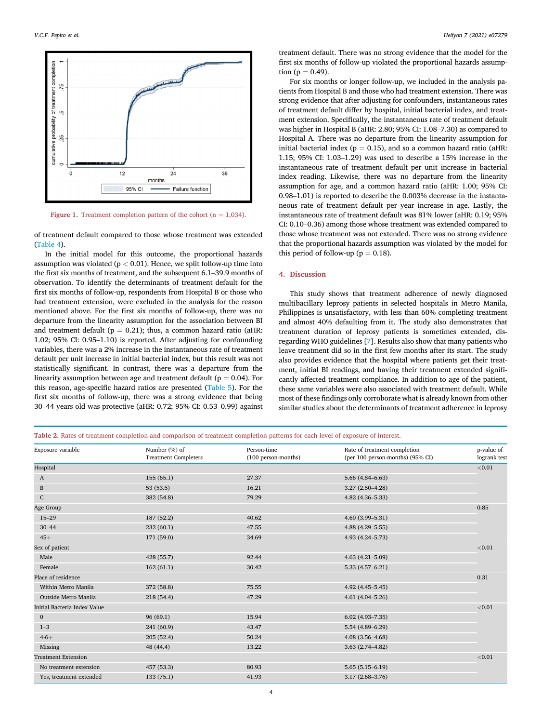<span id="page-5-0"></span>

Figure 1. Treatment completion pattern of the cohort ( $n = 1,034$ ).

of treatment default compared to those whose treatment was extended ([Table 4\)](#page-7-0).

In the initial model for this outcome, the proportional hazards assumption was violated ( $p < 0.01$ ). Hence, we split follow-up time into the first six months of treatment, and the subsequent 6.1–39.9 months of observation. To identify the determinants of treatment default for the first six months of follow-up, respondents from Hospital B or those who had treatment extension, were excluded in the analysis for the reason mentioned above. For the first six months of follow-up, there was no departure from the linearity assumption for the association between BI and treatment default ( $p = 0.21$ ); thus, a common hazard ratio (aHR; 1.02; 95% CI: 0.95–1.10) is reported. After adjusting for confounding variables, there was a 2% increase in the instantaneous rate of treatment default per unit increase in initial bacterial index, but this result was not statistically significant. In contrast, there was a departure from the linearity assumption between age and treatment default ( $p = 0.04$ ). For this reason, age-specific hazard ratios are presented [\(Table 5\)](#page-7-1). For the first six months of follow-up, there was a strong evidence that being <sup>30</sup>–44 years old was protective (aHR: 0.72; 95% CI: 0.53–0.99) against treatment default. There was no strong evidence that the model for the first six months of follow-up violated the proportional hazards assumption ( $p = 0.49$ ).

For six months or longer follow-up, we included in the analysis patients from Hospital B and those who had treatment extension. There was strong evidence that after adjusting for confounders, instantaneous rates of treatment default differ by hospital, initial bacterial index, and treatment extension. Specifically, the instantaneous rate of treatment default was higher in Hospital B (aHR: 2.80; 95% CI: 1.08–7.30) as compared to Hospital A. There was no departure from the linearity assumption for initial bacterial index ( $p = 0.15$ ), and so a common hazard ratio (aHR: 1.15; 95% CI: 1.03–1.29) was used to describe a 15% increase in the instantaneous rate of treatment default per unit increase in bacterial index reading. Likewise, there was no departure from the linearity assumption for age, and a common hazard ratio (aHR: 1.00; 95% CI: 0.98–1.01) is reported to describe the 0.003% decrease in the instantaneous rate of treatment default per year increase in age. Lastly, the instantaneous rate of treatment default was 81% lower (aHR: 0.19; 95% CI: 0.10–0.36) among those whose treatment was extended compared to those whose treatment was not extended. There was no strong evidence that the proportional hazards assumption was violated by the model for this period of follow-up ( $p = 0.18$ ).

#### 4. Discussion

This study shows that treatment adherence of newly diagnosed multibacillary leprosy patients in selected hospitals in Metro Manila, Philippines is unsatisfactory, with less than 60% completing treatment and almost 40% defaulting from it. The study also demonstrates that treatment duration of leprosy patients is sometimes extended, disregarding WHO guidelines [\[7\]](#page-9-6). Results also show that many patients who leave treatment did so in the first few months after its start. The study also provides evidence that the hospital where patients get their treatment, initial BI readings, and having their treatment extended significantly affected treatment compliance. In addition to age of the patient, these same variables were also associated with treatment default. While most of these findings only corroborate what is already known from other similar studies about the determinants of treatment adherence in leprosy

<span id="page-5-1"></span>Table 2. Rates of treatment completion and comparison of treatment completion patterns for each level of exposure of interest.

| Exposure variable            | Number (%) of               | Person-time         | Rate of treatment completion     | p-value of   |
|------------------------------|-----------------------------|---------------------|----------------------------------|--------------|
|                              | <b>Treatment Completers</b> | (100 person-months) | (per 100 person-months) (95% CI) | logrank test |
| Hospital                     |                             |                     |                                  | < 0.01       |
| A                            | 155(65.1)                   | 27.37               | $5.66(4.84 - 6.63)$              |              |
| B                            | 53(53.5)                    | 16.21               | $3.27(2.50-4.28)$                |              |
| $\mathsf{C}$                 | 382 (54.8)                  | 79.29               | $4.82(4.36 - 5.33)$              |              |
| Age Group                    |                             |                     |                                  | 0.85         |
| $15 - 29$                    | 187 (52.2)                  | 40.62               | $4.60(3.99 - 5.31)$              |              |
| $30 - 44$                    | 232 (60.1)                  | 47.55               | $4.88(4.29 - 5.55)$              |              |
| $45+$                        | 171 (59.0)                  | 34.69               | 4.93 (4.24-5.73)                 |              |
| Sex of patient               |                             |                     |                                  | < 0.01       |
| Male                         | 428 (55.7)                  | 92.44               | $4.63(4.21 - 5.09)$              |              |
| Female                       | 162(61.1)                   | 30.42               | $5.33(4.57 - 6.21)$              |              |
| Place of residence           |                             |                     |                                  | 0.31         |
| Within Metro Manila          | 372 (58.8)                  | 75.55               | $4.92(4.45 - 5.45)$              |              |
| Outside Metro Manila         | 218(54.4)                   | 47.29               | $4.61(4.04 - 5.26)$              |              |
| Initial Bacteria Index Value |                             |                     |                                  | < 0.01       |
| $\mathbf{0}$                 | 96(69.1)                    | 15.94               | $6.02(4.93 - 7.35)$              |              |
| $1 - 3$                      | 241 (60.9)                  | 43.47               | $5.54(4.89-6.29)$                |              |
| $4 - 6 +$                    | 205(52.4)                   | 50.24               | $4.08(3.56 - 4.68)$              |              |
| Missing                      | 48 (44.4)                   | 13.22               | $3.63(2.74 - 4.82)$              |              |
| <b>Treatment Extension</b>   |                             |                     |                                  | < 0.01       |
| No treatment extension       | 457 (53.3)                  | 80.93               | $5.65(5.15 - 6.19)$              |              |
| Yes, treatment extended      | 133 (75.1)                  | 41.93               | $3.17(2.68 - 3.76)$              |              |
|                              |                             |                     |                                  |              |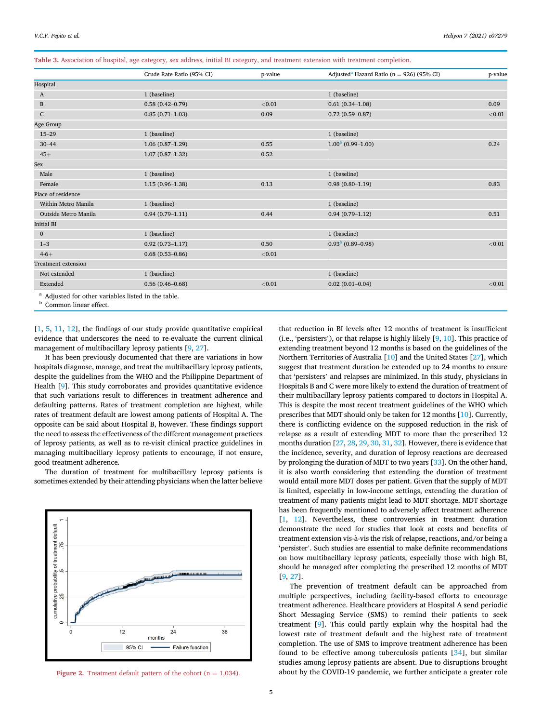<span id="page-6-0"></span>Table 3. Association of hospital, age category, sex address, initial BI category, and treatment extension with treatment completion.

|                            | Crude Rate Ratio (95% CI) | p-value | Adjusted <sup>a</sup> Hazard Ratio ( $n = 926$ ) (95% CI) | p-value |
|----------------------------|---------------------------|---------|-----------------------------------------------------------|---------|
| Hospital                   |                           |         |                                                           |         |
| A                          | 1 (baseline)              |         | 1 (baseline)                                              |         |
| $\, {\bf B}$               | $0.58(0.42 - 0.79)$       | < 0.01  | $0.61(0.34-1.08)$                                         | 0.09    |
| ${\bf C}$                  | $0.85(0.71-1.03)$         | 0.09    | $0.72(0.59 - 0.87)$                                       | < 0.01  |
| Age Group                  |                           |         |                                                           |         |
| $15 - 29$                  | 1 (baseline)              |         | 1 (baseline)                                              |         |
| $30 - 44$                  | $1.06(0.87-1.29)$         | 0.55    | $1.00b$ (0.99–1.00)                                       | 0.24    |
| $45+$                      | $1.07(0.87-1.32)$         | 0.52    |                                                           |         |
| Sex                        |                           |         |                                                           |         |
| Male                       | 1 (baseline)              |         | 1 (baseline)                                              |         |
| Female                     | $1.15(0.96 - 1.38)$       | 0.13    | $0.98(0.80 - 1.19)$                                       | 0.83    |
| Place of residence         |                           |         |                                                           |         |
| Within Metro Manila        | 1 (baseline)              |         | 1 (baseline)                                              |         |
| Outside Metro Manila       | $0.94(0.79-1.11)$         | 0.44    | $0.94(0.79-1.12)$                                         | 0.51    |
| <b>Initial BI</b>          |                           |         |                                                           |         |
| $\mathbf{0}$               | 1 (baseline)              |         | 1 (baseline)                                              |         |
| $1 - 3$                    | $0.92(0.73 - 1.17)$       | 0.50    | $0.93^{b}$ (0.89-0.98)                                    | < 0.01  |
| $4 - 6 +$                  | $0.68(0.53 - 0.86)$       | < 0.01  |                                                           |         |
| <b>Treatment extension</b> |                           |         |                                                           |         |
| Not extended               | 1 (baseline)              |         | 1 (baseline)                                              |         |
| Extended                   | $0.56(0.46 - 0.68)$       | < 0.01  | $0.02(0.01 - 0.04)$                                       | < 0.01  |

<span id="page-6-3"></span><span id="page-6-2"></span>**b** Common linear effect.

[[1](#page-9-0), [5,](#page-9-4) [11,](#page-9-10) [12\]](#page-9-11), the findings of our study provide quantitative empirical evidence that underscores the need to re-evaluate the current clinical management of multibacillary leprosy patients [\[9,](#page-9-8) [27](#page-9-26)].

It has been previously documented that there are variations in how hospitals diagnose, manage, and treat the multibacillary leprosy patients, despite the guidelines from the WHO and the Philippine Department of Health [[9](#page-9-8)]. This study corroborates and provides quantitative evidence that such variations result to differences in treatment adherence and defaulting patterns. Rates of treatment completion are highest, while rates of treatment default are lowest among patients of Hospital A. The opposite can be said about Hospital B, however. These findings support the need to assess the effectiveness of the different management practices of leprosy patients, as well as to re-visit clinical practice guidelines in managing multibacillary leprosy patients to encourage, if not ensure, good treatment adherence.

The duration of treatment for multibacillary leprosy patients is sometimes extended by their attending physicians when the latter believe

<span id="page-6-1"></span>

Figure 2. Treatment default pattern of the cohort ( $n = 1,034$ ).

that reduction in BI levels after 12 months of treatment is insufficient (i.e., 'persisters'), or that relapse is highly likely  $[9, 10]$  $[9, 10]$  $[9, 10]$  $[9, 10]$ . This practice of extending treatment beyond 12 months is based on the guidelines of the Northern Territories of Australia [\[10](#page-9-9)] and the United States [[27\]](#page-9-26), which suggest that treatment duration be extended up to 24 months to ensure that 'persisters' and relapses are minimized. In this study, physicians in Hospitals B and C were more likely to extend the duration of treatment of their multibacillary leprosy patients compared to doctors in Hospital A. This is despite the most recent treatment guidelines of the WHO which prescribes that MDT should only be taken for 12 months [\[10](#page-9-9)]. Currently, there is conflicting evidence on the supposed reduction in the risk of relapse as a result of extending MDT to more than the prescribed 12 months duration [[27,](#page-9-26) [28,](#page-9-27) [29](#page-9-28), [30](#page-9-29), [31](#page-9-30), [32\]](#page-9-31). However, there is evidence that the incidence, severity, and duration of leprosy reactions are decreased by prolonging the duration of MDT to two years [\[33](#page-9-32)]. On the other hand, it is also worth considering that extending the duration of treatment would entail more MDT doses per patient. Given that the supply of MDT is limited, especially in low-income settings, extending the duration of treatment of many patients might lead to MDT shortage. MDT shortage has been frequently mentioned to adversely affect treatment adherence [[1](#page-9-0), [12\]](#page-9-11). Nevertheless, these controversies in treatment duration demonstrate the need for studies that look at costs and benefits of treatment extension vis-a-vis the risk of relapse, reactions, and/or being a 'persister'. Such studies are essential to make definite recommendations on how multibacillary leprosy patients, especially those with high BI, should be managed after completing the prescribed 12 months of MDT [[9](#page-9-8), [27\]](#page-9-26).

The prevention of treatment default can be approached from multiple perspectives, including facility-based efforts to encourage treatment adherence. Healthcare providers at Hospital A send periodic Short Messaging Service (SMS) to remind their patients to seek treatment [[9](#page-9-8)]. This could partly explain why the hospital had the lowest rate of treatment default and the highest rate of treatment completion. The use of SMS to improve treatment adherence has been found to be effective among tuberculosis patients [[34](#page-9-33)], but similar studies among leprosy patients are absent. Due to disruptions brought about by the COVID-19 pandemic, we further anticipate a greater role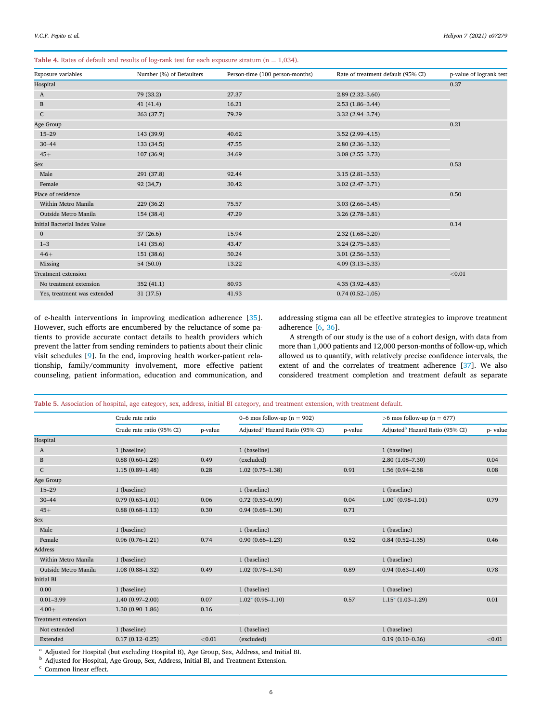<span id="page-7-0"></span>Table 4. Rates of default and results of log-rank test for each exposure stratum ( $n = 1,034$ ).

| <b>Exposure</b> variables     | Number (%) of Defaulters | Person-time (100 person-months) | Rate of treatment default (95% CI) | p-value of logrank test |
|-------------------------------|--------------------------|---------------------------------|------------------------------------|-------------------------|
| Hospital                      |                          |                                 |                                    | 0.37                    |
| A                             | 79 (33.2)                | 27.37                           | $2.89(2.32 - 3.60)$                |                         |
| $\, {\bf B}$                  | 41(41.4)                 | 16.21                           | $2.53(1.86 - 3.44)$                |                         |
| ${\bf C}$                     | 263 (37.7)               | 79.29                           | $3.32(2.94 - 3.74)$                |                         |
| Age Group                     |                          |                                 |                                    | 0.21                    |
| $15 - 29$                     | 143 (39.9)               | 40.62                           | $3.52(2.99 - 4.15)$                |                         |
| $30 - 44$                     | 133 (34.5)               | 47.55                           | $2.80(2.36 - 3.32)$                |                         |
| $45+$                         | 107 (36.9)               | 34.69                           | $3.08(2.55 - 3.73)$                |                         |
| Sex                           |                          |                                 |                                    | 0.53                    |
| Male                          | 291 (37.8)               | 92.44                           | $3.15(2.81 - 3.53)$                |                         |
| Female                        | 92 (34,7)                | 30.42                           | $3.02(2.47 - 3.71)$                |                         |
| Place of residence            |                          |                                 |                                    | 0.50                    |
| Within Metro Manila           | 229 (36.2)               | 75.57                           | $3.03(2.66 - 3.45)$                |                         |
| Outside Metro Manila          | 154 (38.4)               | 47.29                           | $3.26(2.78-3.81)$                  |                         |
| Initial Bacterial Index Value |                          |                                 |                                    | 0.14                    |
| $\mathbf{0}$                  | 37(26.6)                 | 15.94                           | $2.32(1.68 - 3.20)$                |                         |
| $1 - 3$                       | 141 (35.6)               | 43.47                           | $3.24(2.75-3.83)$                  |                         |
| $4 - 6 +$                     | 151 (38.6)               | 50.24                           | $3.01(2.56 - 3.53)$                |                         |
| Missing                       | 54 (50.0)                | 13.22                           | $4.09(3.13 - 5.33)$                |                         |
| <b>Treatment extension</b>    |                          |                                 |                                    | < 0.01                  |
| No treatment extension        | 352(41.1)                | 80.93                           | $4.35(3.92 - 4.83)$                |                         |
| Yes, treatment was extended   | 31 (17.5)                | 41.93                           | $0.74(0.52 - 1.05)$                |                         |

of e-health interventions in improving medication adherence [[35](#page-9-34)]. However, such efforts are encumbered by the reluctance of some patients to provide accurate contact details to health providers which prevent the latter from sending reminders to patients about their clinic visit schedules [\[9\]](#page-9-8). In the end, improving health worker-patient relationship, family/community involvement, more effective patient counseling, patient information, education and communication, and addressing stigma can all be effective strategies to improve treatment adherence [\[6,](#page-9-5) [36](#page-9-35)].

A strength of our study is the use of a cohort design, with data from more than 1,000 patients and 12,000 person-months of follow-up, which allowed us to quantify, with relatively precise confidence intervals, the extent of and the correlates of treatment adherence [\[37](#page-9-36)]. We also considered treatment completion and treatment default as separate

<span id="page-7-1"></span>

|  |  |  |  |  |  |  | Table 5. Association of hospital, age category, sex, address, initial BI category, and treatment extension, with treatment default. |  |  |  |  |
|--|--|--|--|--|--|--|-------------------------------------------------------------------------------------------------------------------------------------|--|--|--|--|
|--|--|--|--|--|--|--|-------------------------------------------------------------------------------------------------------------------------------------|--|--|--|--|

|                            | Crude rate ratio          |         | 0–6 mos follow-up ( $n = 902$ )             |         | $>6$ mos follow-up (n = 677)                |          |  |
|----------------------------|---------------------------|---------|---------------------------------------------|---------|---------------------------------------------|----------|--|
|                            | Crude rate ratio (95% CI) | p-value | Adjusted <sup>a</sup> Hazard Ratio (95% CI) | p-value | Adjusted <sup>b</sup> Hazard Ratio (95% CI) | p- value |  |
| Hospital                   |                           |         |                                             |         |                                             |          |  |
| A                          | 1 (baseline)              |         | 1 (baseline)                                |         | 1 (baseline)                                |          |  |
| B                          | $0.88(0.60 - 1.28)$       | 0.49    | (excluded)                                  |         | $2.80(1.08 - 7.30)$                         | 0.04     |  |
| ${\bf C}$                  | $1.15(0.89-1.48)$         | 0.28    | $1.02(0.75 - 1.38)$                         | 0.91    | 1.56 (0.94-2.58)                            | 0.08     |  |
| Age Group                  |                           |         |                                             |         |                                             |          |  |
| $15 - 29$                  | 1 (baseline)              |         | 1 (baseline)                                |         | 1 (baseline)                                |          |  |
| $30 - 44$                  | $0.79(0.63 - 1.01)$       | 0.06    | $0.72(0.53 - 0.99)$                         | 0.04    | $1.00^{\circ}$ (0.98-1.01)                  | 0.79     |  |
| $45+$                      | $0.88(0.68 - 1.13)$       | 0.30    | $0.94(0.68 - 1.30)$                         | 0.71    |                                             |          |  |
| Sex                        |                           |         |                                             |         |                                             |          |  |
| Male                       | 1 (baseline)              |         | 1 (baseline)                                |         | 1 (baseline)                                |          |  |
| Female                     | $0.96(0.76 - 1.21)$       | 0.74    | $0.90(0.66 - 1.23)$                         | 0.52    | $0.84(0.52 - 1.35)$                         | 0.46     |  |
| <b>Address</b>             |                           |         |                                             |         |                                             |          |  |
| Within Metro Manila        | 1 (baseline)              |         | 1 (baseline)                                |         | 1 (baseline)                                |          |  |
| Outside Metro Manila       | $1.08(0.88 - 1.32)$       | 0.49    | $1.02(0.78 - 1.34)$                         | 0.89    | $0.94(0.63 - 1.40)$                         | 0.78     |  |
| <b>Initial BI</b>          |                           |         |                                             |         |                                             |          |  |
| 0.00                       | 1 (baseline)              |         | 1 (baseline)                                |         | 1 (baseline)                                |          |  |
| $0.01 - 3.99$              | $1.40(0.97 - 2.00)$       | 0.07    | $1.02^{\circ}$ (0.95-1.10)                  | 0.57    | $1.15^{\circ}$ (1.03-1.29)                  | 0.01     |  |
| $4.00+$                    | $1.30(0.90 - 1.86)$       | 0.16    |                                             |         |                                             |          |  |
| <b>Treatment extension</b> |                           |         |                                             |         |                                             |          |  |
| Not extended               | 1 (baseline)              |         | 1 (baseline)                                |         | 1 (baseline)                                |          |  |
| Extended                   | $0.17(0.12 - 0.25)$       | < 0.01  | (excluded)                                  |         | $0.19(0.10 - 0.36)$                         | < 0.01   |  |

<span id="page-7-2"></span><sup>a</sup> Adjusted for Hospital (but excluding Hospital B), Age Group, Sex, Address, and Initial BI.

<span id="page-7-3"></span><sup>b</sup> Adjusted for Hospital, Age Group, Sex, Address, Initial BI, and Treatment Extension.

<span id="page-7-4"></span><sup>c</sup> Common linear effect.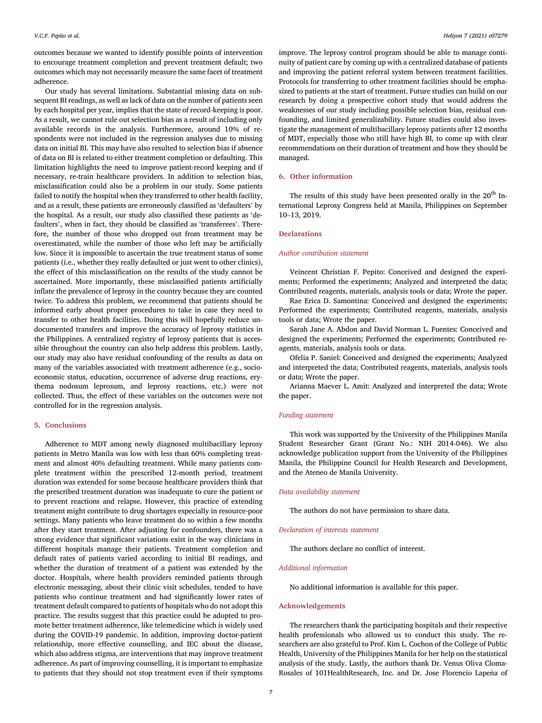outcomes because we wanted to identify possible points of intervention to encourage treatment completion and prevent treatment default; two outcomes which may not necessarily measure the same facet of treatment adherence.

Our study has several limitations. Substantial missing data on subsequent BI readings, as well as lack of data on the number of patients seen by each hospital per year, implies that the state of record-keeping is poor. As a result, we cannot rule out selection bias as a result of including only available records in the analysis. Furthermore, around 10% of respondents were not included in the regression analyses due to missing data on initial BI. This may have also resulted to selection bias if absence of data on BI is related to either treatment completion or defaulting. This limitation highlights the need to improve patient-record keeping and if necessary, re-train healthcare providers. In addition to selection bias, misclassification could also be a problem in our study. Some patients failed to notify the hospital when they transferred to other health facility, and as a result, these patients are erroneously classified as 'defaulters' by the hospital. As a result, our study also classified these patients as 'defaulters', when in fact, they should be classified as 'transferees'. Therefore, the number of those who dropped out from treatment may be overestimated, while the number of those who left may be artificially low. Since it is impossible to ascertain the true treatment status of some patients (i.e., whether they really defaulted or just went to other clinics), the effect of this misclassification on the results of the study cannot be ascertained. More importantly, these misclassified patients artificially inflate the prevalence of leprosy in the country because they are counted twice. To address this problem, we recommend that patients should be informed early about proper procedures to take in case they need to transfer to other health facilities. Doing this will hopefully reduce undocumented transfers and improve the accuracy of leprosy statistics in the Philippines. A centralized registry of leprosy patients that is accessible throughout the country can also help address this problem. Lastly, our study may also have residual confounding of the results as data on many of the variables associated with treatment adherence (e.g., socioeconomic status, education, occurrence of adverse drug reactions, erythema nodosum leprosum, and leprosy reactions, etc.) were not collected. Thus, the effect of these variables on the outcomes were not controlled for in the regression analysis.

#### 5. Conclusions

Adherence to MDT among newly diagnosed multibacillary leprosy patients in Metro Manila was low with less than 60% completing treatment and almost 40% defaulting treatment. While many patients complete treatment within the prescribed 12-month period, treatment duration was extended for some because healthcare providers think that the prescribed treatment duration was inadequate to cure the patient or to prevent reactions and relapse. However, this practice of extending treatment might contribute to drug shortages especially in resource-poor settings. Many patients who leave treatment do so within a few months after they start treatment. After adjusting for confounders, there was a strong evidence that significant variations exist in the way clinicians in different hospitals manage their patients. Treatment completion and default rates of patients varied according to initial BI readings, and whether the duration of treatment of a patient was extended by the doctor. Hospitals, where health providers reminded patients through electronic messaging, about their clinic visit schedules, tended to have patients who continue treatment and had significantly lower rates of treatment default compared to patients of hospitals who do not adopt this practice. The results suggest that this practice could be adopted to promote better treatment adherence, like telemedicine which is widely used during the COVID-19 pandemic. In addition, improving doctor-patient relationship, more effective counselling, and IEC about the disease, which also address stigma, are interventions that may improve treatment adherence. As part of improving counselling, it is important to emphasize to patients that they should not stop treatment even if their symptoms

improve. The leprosy control program should be able to manage continuity of patient care by coming up with a centralized database of patients and improving the patient referral system between treatment facilities. Protocols for transferring to other treatment facilities should be emphasized to patients at the start of treatment. Future studies can build on our research by doing a prospective cohort study that would address the weaknesses of our study including possible selection bias, residual confounding, and limited generalizability. Future studies could also investigate the management of multibacillary leprosy patients after 12 months of MDT, especially those who still have high BI, to come up with clear recommendations on their duration of treatment and how they should be managed.

#### 6. Other information

The results of this study have been presented orally in the  $20<sup>th</sup>$  International Leprosy Congress held at Manila, Philippines on September <sup>10</sup>–13, 2019.

#### **Declarations**

#### Author contribution statement

Veincent Christian F. Pepito: Conceived and designed the experiments; Performed the experiments; Analyzed and interpreted the data; Contributed reagents, materials, analysis tools or data; Wrote the paper.

Rae Erica D. Samontina: Conceived and designed the experiments; Performed the experiments; Contributed reagents, materials, analysis tools or data; Wrote the paper.

Sarah Jane A. Abdon and David Norman L. Fuentes: Conceived and designed the experiments; Performed the experiments; Contributed reagents, materials, analysis tools or data.

Ofelia P. Saniel: Conceived and designed the experiments; Analyzed and interpreted the data; Contributed reagents, materials, analysis tools or data; Wrote the paper.

Arianna Maever L. Amit: Analyzed and interpreted the data; Wrote the paper.

#### Funding statement

This work was supported by the University of the Philippines Manila Student Researcher Grant (Grant No.: NIH 2014-046). We also acknowledge publication support from the University of the Philippines Manila, the Philippine Council for Health Research and Development, and the Ateneo de Manila University.

#### Data availability statement

The authors do not have permission to share data.

#### Declaration of interests statement

The authors declare no conflict of interest.

#### Additional information

No additional information is available for this paper.

#### Acknowledgements

The researchers thank the participating hospitals and their respective health professionals who allowed us to conduct this study. The researchers are also grateful to Prof. Kim L. Cochon of the College of Public Health, University of the Philippines Manila for her help on the statistical analysis of the study. Lastly, the authors thank Dr. Venus Oliva Cloma-Rosales of 101HealthResearch, Inc. and Dr. Jose Florencio Lapena of ~